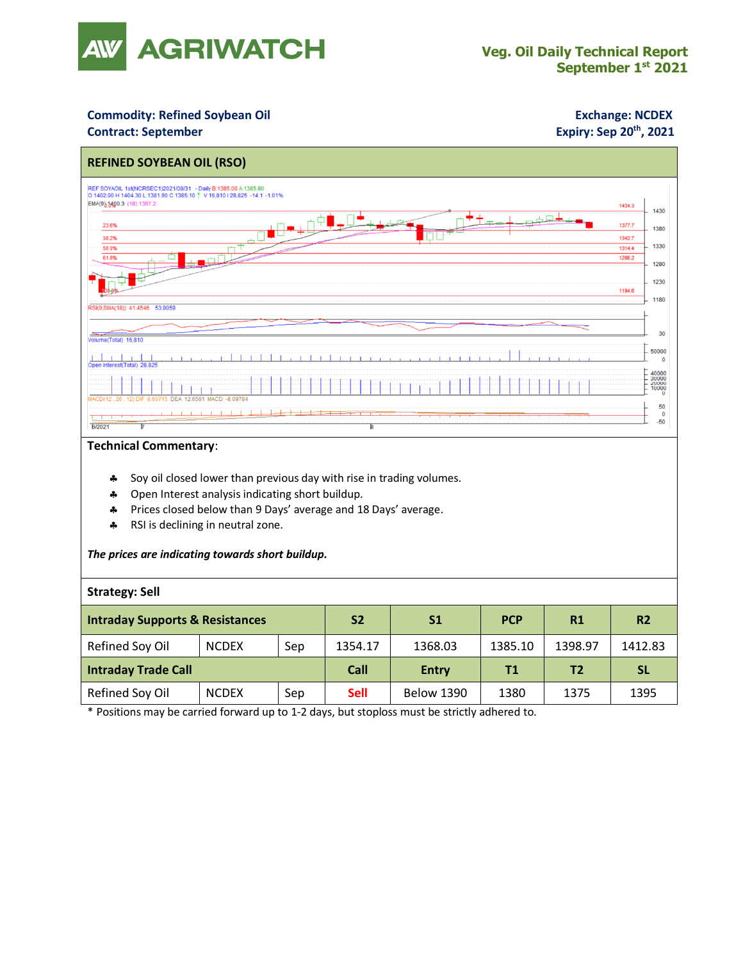

### **Commodity: Refined Soybean Oil <b>Exchange: NCDEX**

#### **Contract: September**

## **Expiry: Sep 20<sup>th</sup>, 2021**



#### **Technical Commentary**:

- Soy oil closed lower than previous day with rise in trading volumes.
- \* Open Interest analysis indicating short buildup.
- Prices closed below than 9 Days' average and 18 Days' average.
- \* RSI is declining in neutral zone.

#### *The prices are indicating towards short buildup.*

#### **Strategy: Sell**

| <b>Intraday Supports &amp; Resistances</b> |              |     | <b>S2</b>   | S <sub>1</sub>    | <b>PCP</b> | R1             | R <sub>2</sub> |
|--------------------------------------------|--------------|-----|-------------|-------------------|------------|----------------|----------------|
| Refined Soy Oil                            | <b>NCDEX</b> | Sep | 1354.17     | 1368.03           | 1385.10    | 1398.97        | 1412.83        |
| <b>Intraday Trade Call</b>                 |              |     | Call        | <b>Entry</b>      | <b>T1</b>  | T <sub>2</sub> | <b>SL</b>      |
| Refined Soy Oil                            | <b>NCDEX</b> | Sep | <b>Sell</b> | <b>Below 1390</b> | 1380       | 1375           | 1395           |

\* Positions may be carried forward up to 1-2 days, but stoploss must be strictly adhered to.